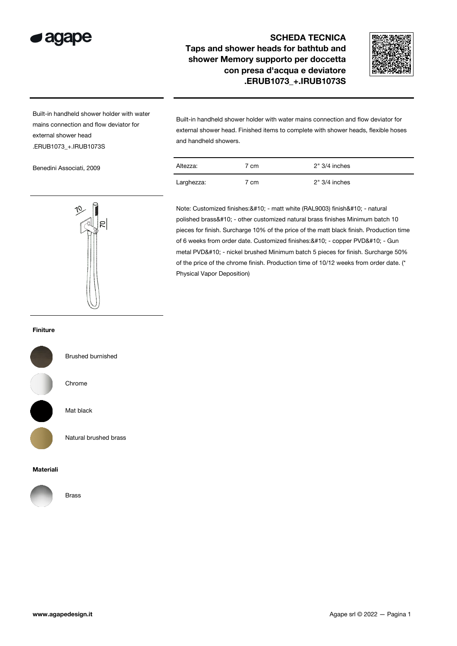

## SCHEDA TECNICA Taps and shower heads for bathtub and shower Memory supporto per doccetta con presa d'acqua e deviatore .ERUB1073\_+.IRUB1073S

Larghezza: 7 cm 2" 3/4 inches



Built-in handheld shower holder with water mains connection and flow deviator for external shower head .ERUB1073\_+.IRUB1073S

Benedini Associati, 2009



Built-in handheld shower holder with water mains connection and flow deviator for external shower head. Finished items to complete with shower heads, flexible hoses



## Finiture



Brushed burnished

Chrome



Mat black

Natural brushed brass

## Materiali



Brass

Note: Customized finishes: 
- matt white (RAL9003) finish 
- natural polished brass
- other customized natural brass finishes Minimum batch 10 pieces for finish. Surcharge 10% of the price of the matt black finish. Production time of 6 weeks from order date. Customized finishes: & #10; - copper PVD& #10; - Gun metal PVD
- nickel brushed Minimum batch 5 pieces for finish. Surcharge 50% of the price of the chrome finish. Production time of 10/12 weeks from order date. (\* Physical Vapor Deposition)